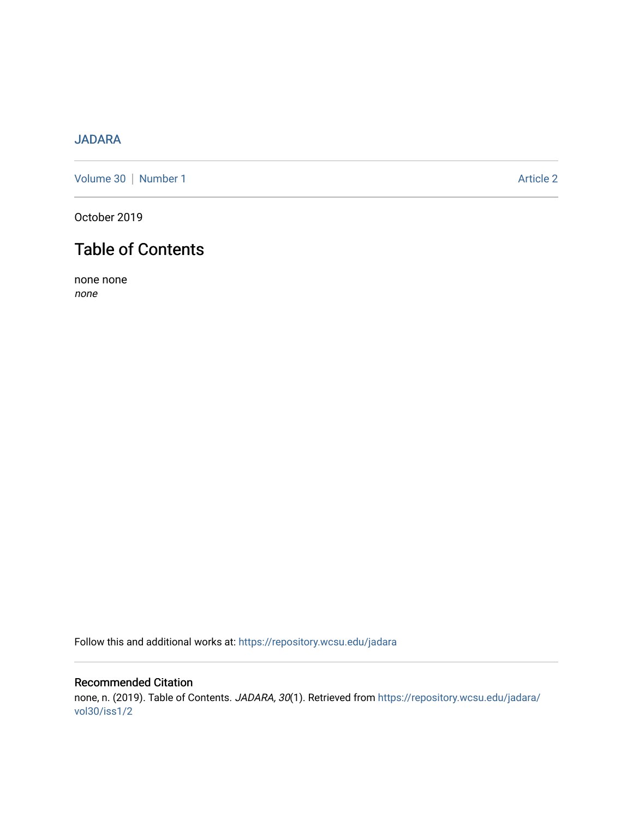## [JADARA](https://repository.wcsu.edu/jadara)

[Volume 30](https://repository.wcsu.edu/jadara/vol30) | [Number 1](https://repository.wcsu.edu/jadara/vol30/iss1) Article 2

October 2019

# Table of Contents

none none none

Follow this and additional works at: [https://repository.wcsu.edu/jadara](https://repository.wcsu.edu/jadara?utm_source=repository.wcsu.edu%2Fjadara%2Fvol30%2Fiss1%2F2&utm_medium=PDF&utm_campaign=PDFCoverPages)

### Recommended Citation none, n. (2019). Table of Contents. JADARA, 30(1). Retrieved from [https://repository.wcsu.edu/jadara/](https://repository.wcsu.edu/jadara/vol30/iss1/2?utm_source=repository.wcsu.edu%2Fjadara%2Fvol30%2Fiss1%2F2&utm_medium=PDF&utm_campaign=PDFCoverPages) [vol30/iss1/2](https://repository.wcsu.edu/jadara/vol30/iss1/2?utm_source=repository.wcsu.edu%2Fjadara%2Fvol30%2Fiss1%2F2&utm_medium=PDF&utm_campaign=PDFCoverPages)